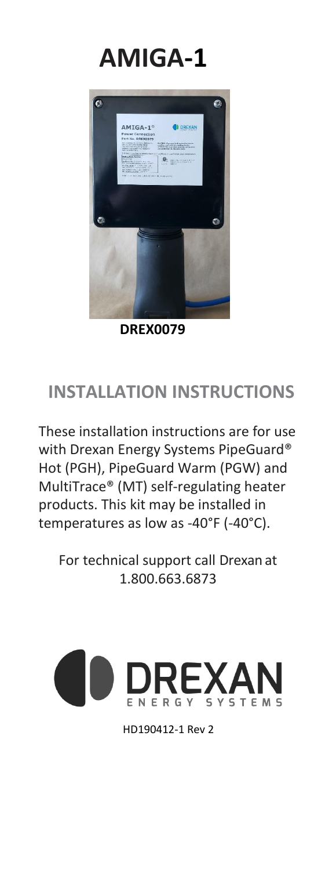



 **DREX0079**

### **INSTALLATION INSTRUCTIONS**

These installation instructions are for use with Drexan Energy Systems PipeGuard® Hot (PGH), PipeGuard Warm (PGW) and MultiTrace® (MT) self-regulating heater products. This kit may be installed in temperatures as low as -40°F (-40°C).

For technical support call Drexan at 1.800.663.6873



HD190412-1 Rev 2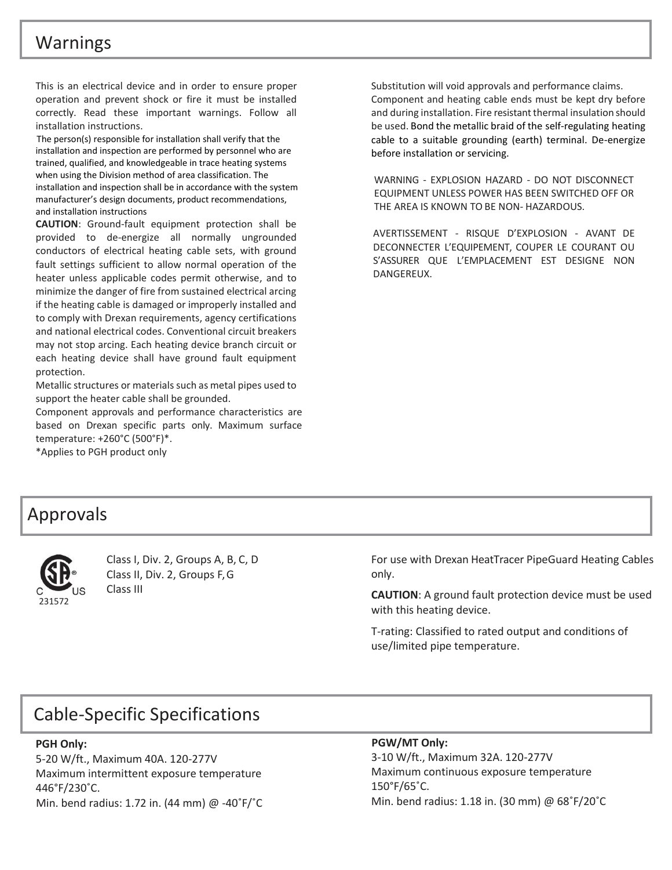#### Warnings

This is an electrical device and in order to ensure proper operation and prevent shock or fire it must be installed correctly. Read these important warnings. Follow all installation instructions.

The person(s) responsible for installation shall verify that the installation and inspection are performed by personnel who are trained, qualified, and knowledgeable in trace heating systems when using the Division method of area classification. The installation and inspection shall be in accordance with the system manufacturer's design documents, product recommendations, and installation instructions

**CAUTION**: Ground-fault equipment protection shall be provided to de-energize all normally ungrounded conductors of electrical heating cable sets, with ground fault settings sufficient to allow normal operation of the heater unless applicable codes permit otherwise, and to minimize the danger of fire from sustained electrical arcing if the heating cable is damaged or improperly installed and to comply with Drexan requirements, agency certifications and national electrical codes. Conventional circuit breakers may not stop arcing. Each heating device branch circuit or each heating device shall have ground fault equipment protection.

Metallic structures or materials such as metal pipes used to support the heater cable shall be grounded.

Component approvals and performance characteristics are based on Drexan specific parts only. Maximum surface temperature: +260°C (500°F)\*.

\*Applies to PGH product only

Substitution will void approvals and performance claims. Component and heating cable ends must be kept dry before and during installation. Fire resistant thermal insulation should be used. Bond the metallic braid of the self-regulating heating cable to a suitable grounding (earth) terminal. De-energize before installation or servicing.

WARNING - EXPLOSION HAZARD - DO NOT DISCONNECT EQUIPMENT UNLESS POWER HAS BEEN SWITCHED OFF OR THE AREA IS KNOWN TO BE NON- HAZARDOUS.

AVERTISSEMENT - RISQUE D'EXPLOSION - AVANT DE DECONNECTER L'EQUIPEMENT, COUPER LE COURANT OU S'ASSURER QUE L'EMPLACEMENT EST DESIGNE NON DANGEREUX.

#### Approvals



Class I, Div. 2, Groups A, B, C, D Class II, Div. 2, Groups F, G Class III

For use with Drexan HeatTracer PipeGuard Heating Cables only.

**CAUTION**: A ground fault protection device must be used with this heating device.

T-rating: Classified to rated output and conditions of use/limited pipe temperature.

#### Cable-Specific Specifications

#### **PGH Only:**

5-20 W/ft., Maximum 40A. 120-277V Maximum intermittent exposure temperature 446°F/230˚C. Min. bend radius: 1.72 in. (44 mm) @ -40˚F/˚C

#### **PGW/MT Only:**

3-10 W/ft., Maximum 32A. 120-277V Maximum continuous exposure temperature 150°F/65˚C. Min. bend radius: 1.18 in. (30 mm) @ 68˚F/20˚C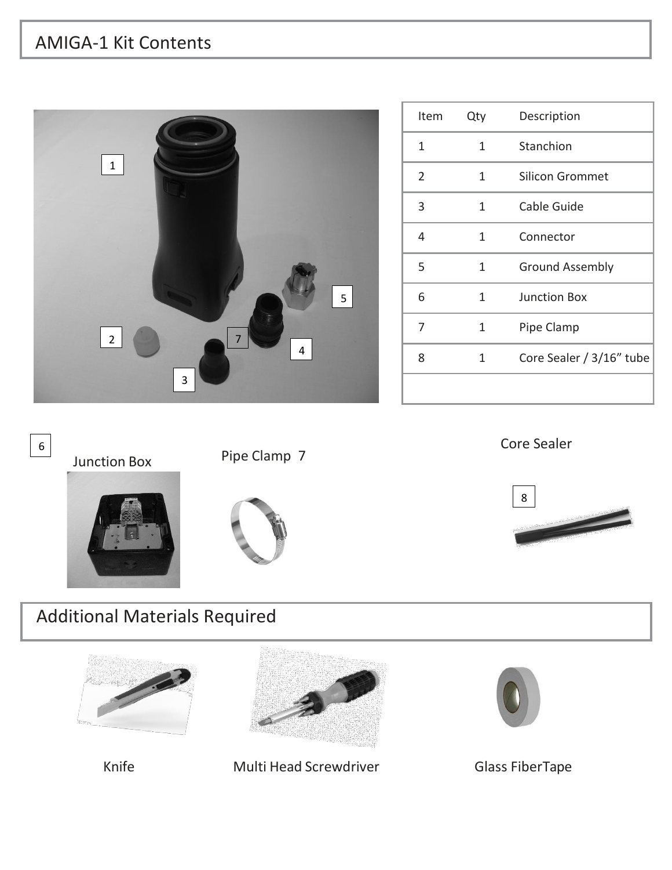## AMIGA-1 Kit Contents



| Item | Qty | Description              |
|------|-----|--------------------------|
| 1    | 1   | Stanchion                |
| 2    | 1   | <b>Silicon Grommet</b>   |
| 3    | 1   | Cable Guide              |
| 4    | 1   | Connector                |
| 5    | 1   | <b>Ground Assembly</b>   |
| 6    | 1   | <b>Junction Box</b>      |
| 7    | 1   | Pipe Clamp               |
| 8    | 1   | Core Sealer / 3/16" tube |
|      |     |                          |

Core Sealer





# Additional Materials Required







Knife Multi Head Screwdriver Glass FiberTape

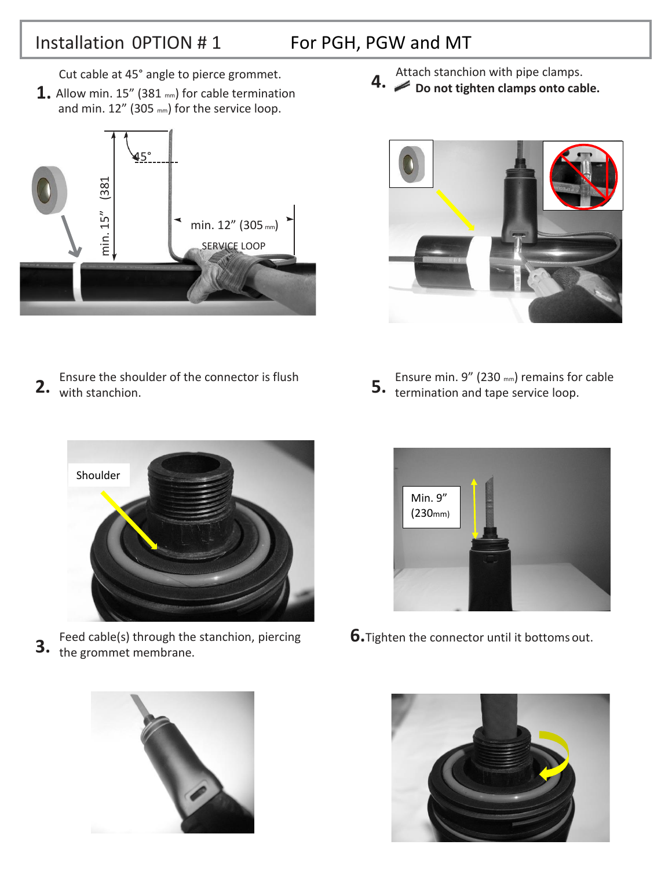### Installation 0PTION # 1

F

### For PGH, PGW and MT

Cut cable at 45° angle to pierce grommet.

**1.** Allow min. 15" (381 mm) for cable termination and min. 12" (305 mm) for the service loop.



Ensure the shoulder of the connector is flush 2. With stanchion. 5. 5. 5. 5. 5. 5. 5. 5. 5. 5.  $\sigma$ 

Attach stanchion with pipe clamps. **4.**  $\swarrow$  **Do not tighten clamps onto cable.** 



Ensure min. 9" (230 mm) remains for cable 5. **termination and tape service loop.** 



Feed cable(s) through the stanchion, piercing the grommet membrane. **3.**





**6.**Tighten the connector until it bottoms out.

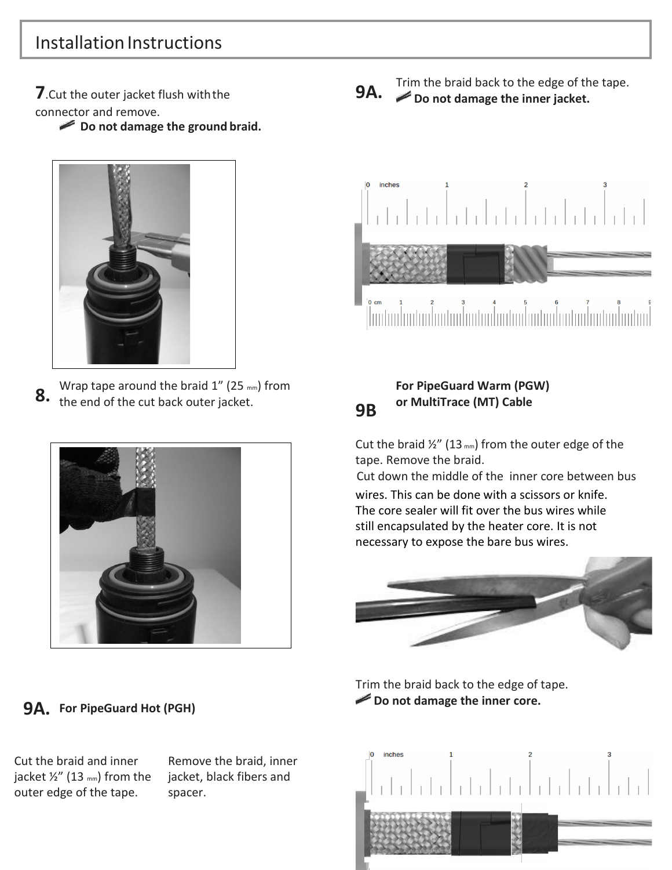## Installation Instructions

**7**.Cut the outer jacket flush withthe connector and remove.

**Do not damage the ground braid.**



Wrap tape around the braid  $1''$  (25 mm) from the end of the cut back outer jacket. **8.**



#### **9A. For PipeGuard Hot (PGH)**

Cut the braid and inner jacket  $\frac{1}{2}$ " (13 mm) from the outer edge of the tape.

Remove the braid, inner jacket, black fibers and spacer.

**9B**

Trim the braid back to the edge of the tape. **9A.** Do not damage the inner jacket.



#### **For PipeGuard Warm (PGW) or MultiTrace (MT) Cable**

Cut the braid  $\frac{1}{2}$ " (13 mm) from the outer edge of the tape. Remove the braid.

Cut down the middle of the inner core between bus

wires. This can be done with a scissors or knife. The core sealer will fit over the bus wires while still encapsulated by the heater core. It is not necessary to expose the bare bus wires.



Trim the braid back to the edge of tape. **Do not damage the inner core.**

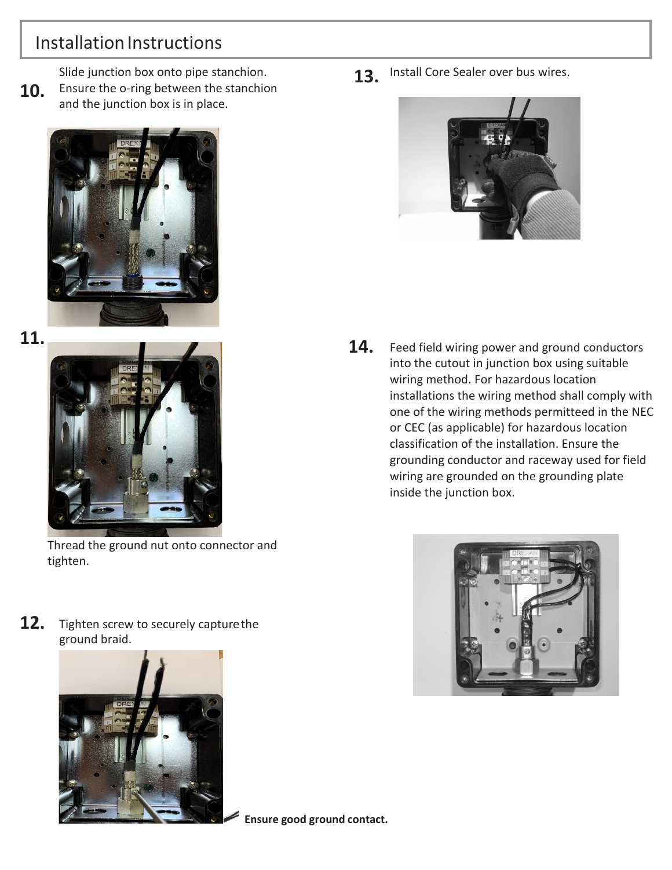## Installation Instructions

Slide junction box onto pipe stanchion.

**10.** Ensure the o-ring between the stanchion and the junction box is in place.



**11.**



Thread the ground nut onto connector and tighten.

**12.** Tighten screw to securely capturethe ground braid.



**13.** Install Core Sealer over bus wires.



**14.** Feed field wiring power and ground conductors into the cutout in junction box using suitable wiring method. For hazardous location installations the wiring method shall comply with one of the wiring methods permitteed in the NEC or CEC (as applicable) for hazardous location classification of the installation. Ensure the grounding conductor and raceway used for field wiring are grounded on the grounding plate inside the junction box.



**Ensure good ground contact.**